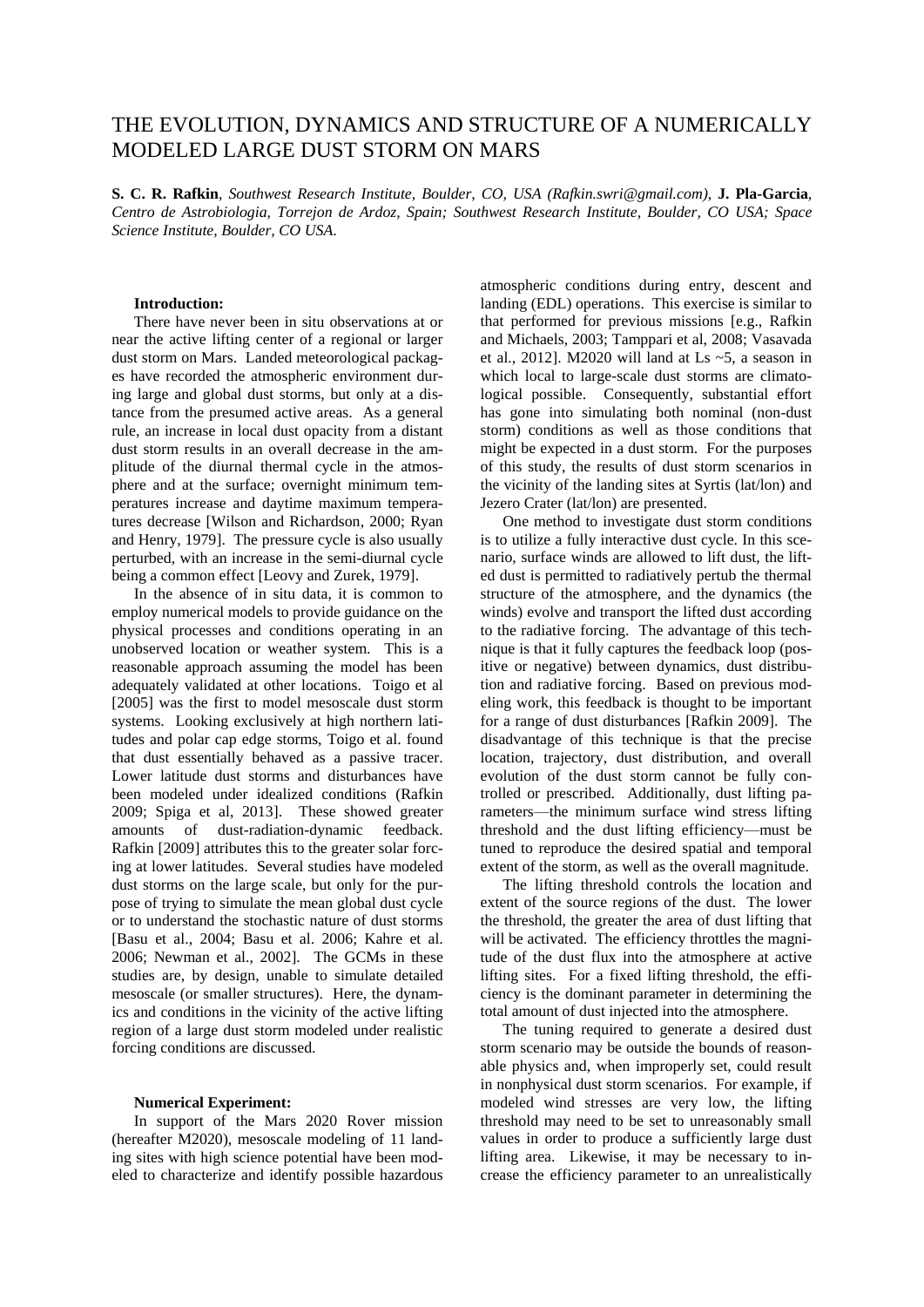## THE EVOLUTION, DYNAMICS AND STRUCTURE OF A NUMERICALLY MODELED LARGE DUST STORM ON MARS

**S. C. R. Rafkin**, *Southwest Research Institute, Boulder, CO, USA (Rafkin.swri@gmail.com)*, **J. Pla-Garcia**, *Centro de Astrobiologia, Torrejon de Ardoz, Spain; Southwest Research Institute, Boulder, CO USA; Space Science Institute, Boulder, CO USA*.

## **Introduction:**

There have never been in situ observations at or near the active lifting center of a regional or larger dust storm on Mars. Landed meteorological packages have recorded the atmospheric environment during large and global dust storms, but only at a distance from the presumed active areas. As a general rule, an increase in local dust opacity from a distant dust storm results in an overall decrease in the amplitude of the diurnal thermal cycle in the atmosphere and at the surface; overnight minimum temperatures increase and daytime maximum temperatures decrease [Wilson and Richardson, 2000; Ryan and Henry, 1979]. The pressure cycle is also usually perturbed, with an increase in the semi-diurnal cycle being a common effect [Leovy and Zurek, 1979].

In the absence of in situ data, it is common to employ numerical models to provide guidance on the physical processes and conditions operating in an unobserved location or weather system. This is a reasonable approach assuming the model has been adequately validated at other locations. Toigo et al [2005] was the first to model mesoscale dust storm systems. Looking exclusively at high northern latitudes and polar cap edge storms, Toigo et al. found that dust essentially behaved as a passive tracer. Lower latitude dust storms and disturbances have been modeled under idealized conditions (Rafkin 2009; Spiga et al, 2013]. These showed greater amounts of dust-radiation-dynamic feedback. Rafkin [2009] attributes this to the greater solar forcing at lower latitudes. Several studies have modeled dust storms on the large scale, but only for the purpose of trying to simulate the mean global dust cycle or to understand the stochastic nature of dust storms [Basu et al., 2004; Basu et al. 2006; Kahre et al. 2006; Newman et al., 2002]. The GCMs in these studies are, by design, unable to simulate detailed mesoscale (or smaller structures). Here, the dynamics and conditions in the vicinity of the active lifting region of a large dust storm modeled under realistic forcing conditions are discussed.

## **Numerical Experiment:**

In support of the Mars 2020 Rover mission (hereafter M2020), mesoscale modeling of 11 landing sites with high science potential have been modeled to characterize and identify possible hazardous

atmospheric conditions during entry, descent and landing (EDL) operations. This exercise is similar to that performed for previous missions [e.g., Rafkin and Michaels, 2003; Tamppari et al, 2008; Vasavada et al., 2012]. M2020 will land at Ls  $~5$ , a season in which local to large-scale dust storms are climatological possible. Consequently, substantial effort has gone into simulating both nominal (non-dust storm) conditions as well as those conditions that might be expected in a dust storm. For the purposes of this study, the results of dust storm scenarios in the vicinity of the landing sites at Syrtis (lat/lon) and Jezero Crater (lat/lon) are presented.

One method to investigate dust storm conditions is to utilize a fully interactive dust cycle. In this scenario, surface winds are allowed to lift dust, the lifted dust is permitted to radiatively pertub the thermal structure of the atmosphere, and the dynamics (the winds) evolve and transport the lifted dust according to the radiative forcing. The advantage of this technique is that it fully captures the feedback loop (positive or negative) between dynamics, dust distribution and radiative forcing. Based on previous modeling work, this feedback is thought to be important for a range of dust disturbances [Rafkin 2009]. The disadvantage of this technique is that the precise location, trajectory, dust distribution, and overall evolution of the dust storm cannot be fully controlled or prescribed. Additionally, dust lifting parameters—the minimum surface wind stress lifting threshold and the dust lifting efficiency—must be tuned to reproduce the desired spatial and temporal extent of the storm, as well as the overall magnitude.

The lifting threshold controls the location and extent of the source regions of the dust. The lower the threshold, the greater the area of dust lifting that will be activated. The efficiency throttles the magnitude of the dust flux into the atmosphere at active lifting sites. For a fixed lifting threshold, the efficiency is the dominant parameter in determining the total amount of dust injected into the atmosphere.

The tuning required to generate a desired dust storm scenario may be outside the bounds of reasonable physics and, when improperly set, could result in nonphysical dust storm scenarios. For example, if modeled wind stresses are very low, the lifting threshold may need to be set to unreasonably small values in order to produce a sufficiently large dust lifting area. Likewise, it may be necessary to increase the efficiency parameter to an unrealistically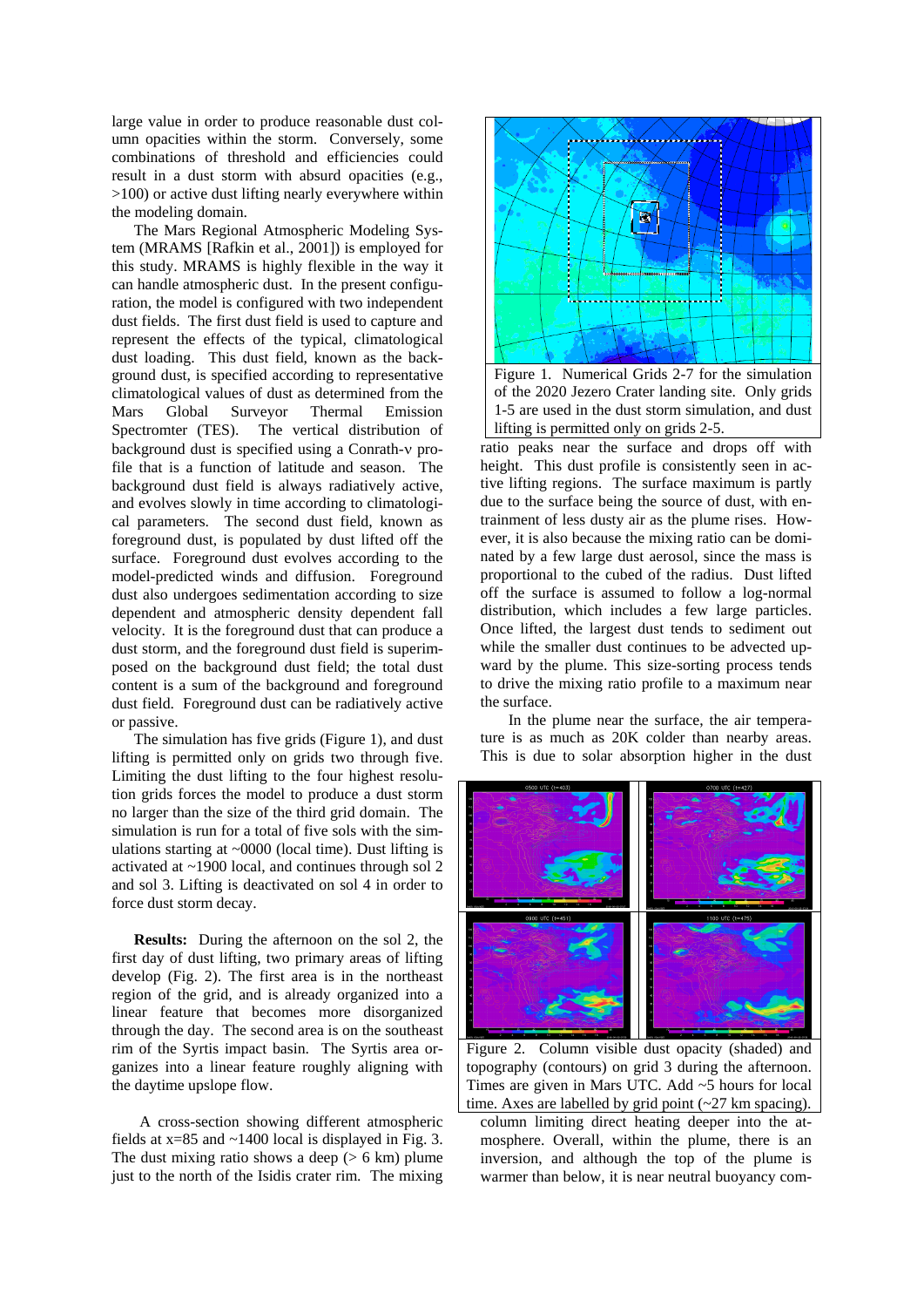large value in order to produce reasonable dust column opacities within the storm. Conversely, some combinations of threshold and efficiencies could result in a dust storm with absurd opacities (e.g., >100) or active dust lifting nearly everywhere within the modeling domain.

The Mars Regional Atmospheric Modeling System (MRAMS [Rafkin et al., 2001]) is employed for this study. MRAMS is highly flexible in the way it can handle atmospheric dust. In the present configuration, the model is configured with two independent dust fields. The first dust field is used to capture and represent the effects of the typical, climatological dust loading. This dust field, known as the background dust, is specified according to representative climatological values of dust as determined from the Mars Global Surveyor Thermal Emission Spectromter (TES). The vertical distribution of background dust is specified using a Conrath-v profile that is a function of latitude and season. The background dust field is always radiatively active, and evolves slowly in time according to climatological parameters. The second dust field, known as foreground dust, is populated by dust lifted off the surface. Foreground dust evolves according to the model-predicted winds and diffusion. Foreground dust also undergoes sedimentation according to size dependent and atmospheric density dependent fall velocity. It is the foreground dust that can produce a dust storm, and the foreground dust field is superimposed on the background dust field; the total dust content is a sum of the background and foreground dust field. Foreground dust can be radiatively active or passive.

The simulation has five grids (Figure 1), and dust lifting is permitted only on grids two through five. Limiting the dust lifting to the four highest resolution grids forces the model to produce a dust storm no larger than the size of the third grid domain. The simulation is run for a total of five sols with the simulations starting at ~0000 (local time). Dust lifting is activated at ~1900 local, and continues through sol 2 and sol 3. Lifting is deactivated on sol 4 in order to force dust storm decay.

**Results:** During the afternoon on the sol 2, the first day of dust lifting, two primary areas of lifting develop (Fig. 2). The first area is in the northeast region of the grid, and is already organized into a linear feature that becomes more disorganized through the day. The second area is on the southeast rim of the Syrtis impact basin. The Syrtis area organizes into a linear feature roughly aligning with the daytime upslope flow.

A cross-section showing different atmospheric fields at  $x=85$  and  $\sim$ 1400 local is displayed in Fig. 3. The dust mixing ratio shows a deep  $(> 6 \text{ km})$  plume just to the north of the Isidis crater rim. The mixing



of the 2020 Jezero Crater landing site. Only grids 1-5 are used in the dust storm simulation, and dust lifting is permitted only on grids 2-5.

ratio peaks near the surface and drops off with height. This dust profile is consistently seen in active lifting regions. The surface maximum is partly due to the surface being the source of dust, with entrainment of less dusty air as the plume rises. However, it is also because the mixing ratio can be dominated by a few large dust aerosol, since the mass is proportional to the cubed of the radius. Dust lifted off the surface is assumed to follow a log-normal distribution, which includes a few large particles. Once lifted, the largest dust tends to sediment out while the smaller dust continues to be advected upward by the plume. This size-sorting process tends to drive the mixing ratio profile to a maximum near the surface.

In the plume near the surface, the air temperature is as much as 20K colder than nearby areas. This is due to solar absorption higher in the dust



Figure 2. Column visible dust opacity (shaded) and topography (contours) on grid 3 during the afternoon. Times are given in Mars UTC. Add ~5 hours for local time. Axes are labelled by grid point (~27 km spacing).

column limiting direct heating deeper into the atmosphere. Overall, within the plume, there is an inversion, and although the top of the plume is warmer than below, it is near neutral buoyancy com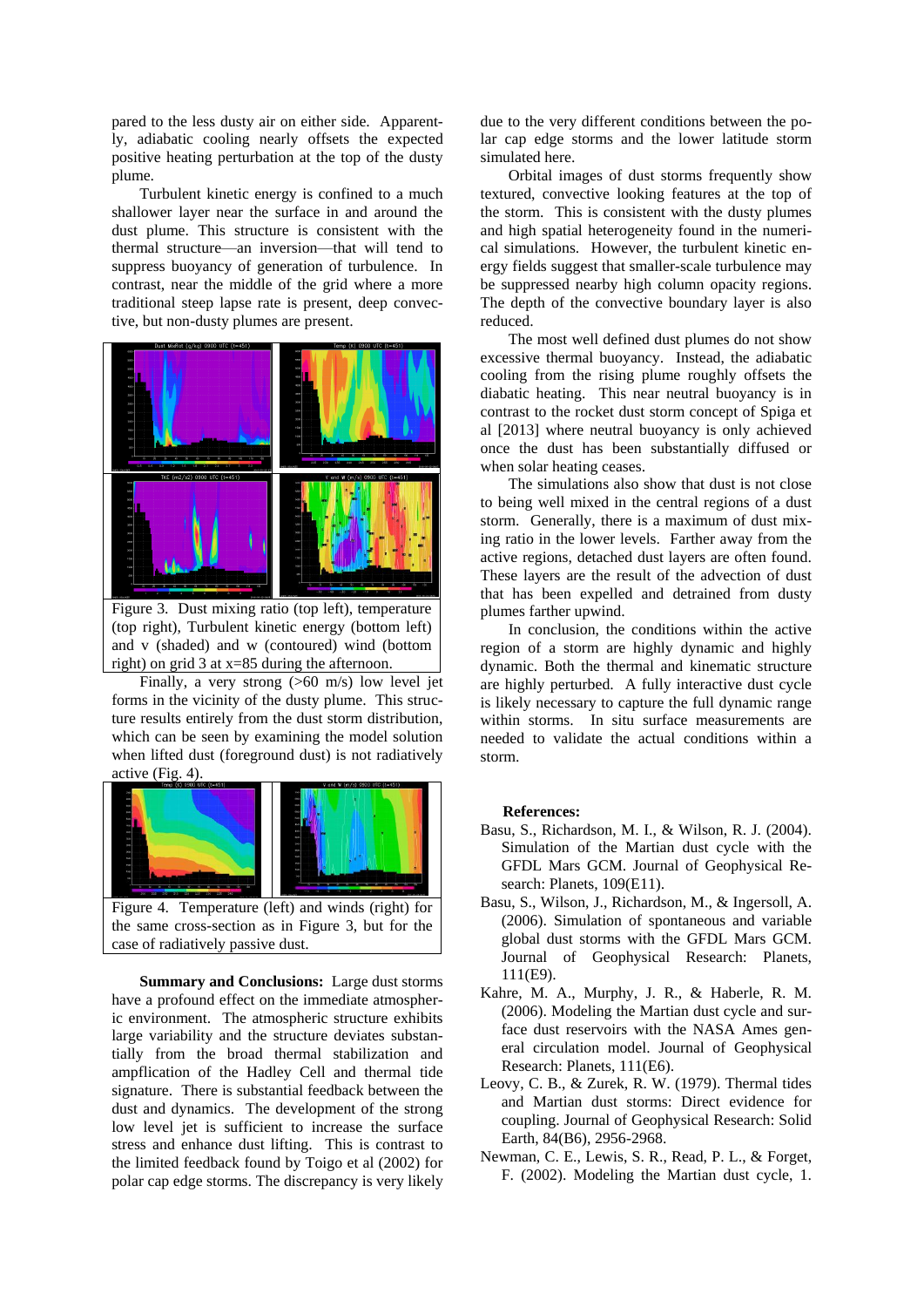pared to the less dusty air on either side. Apparently, adiabatic cooling nearly offsets the expected positive heating perturbation at the top of the dusty plume.

Turbulent kinetic energy is confined to a much shallower layer near the surface in and around the dust plume. This structure is consistent with the thermal structure—an inversion—that will tend to suppress buoyancy of generation of turbulence. In contrast, near the middle of the grid where a more traditional steep lapse rate is present, deep convective, but non-dusty plumes are present.



(top right), Turbulent kinetic energy (bottom left) and v (shaded) and w (contoured) wind (bottom right) on grid 3 at x=85 during the afternoon.

Finally, a very strong (>60 m/s) low level jet forms in the vicinity of the dusty plume. This structure results entirely from the dust storm distribution, which can be seen by examining the model solution when lifted dust (foreground dust) is not radiatively active (Fig. 4).



the same cross-section as in Figure 3, but for the case of radiatively passive dust.

**Summary and Conclusions:** Large dust storms have a profound effect on the immediate atmospheric environment. The atmospheric structure exhibits large variability and the structure deviates substantially from the broad thermal stabilization and ampflication of the Hadley Cell and thermal tide signature. There is substantial feedback between the dust and dynamics. The development of the strong low level jet is sufficient to increase the surface stress and enhance dust lifting. This is contrast to the limited feedback found by Toigo et al (2002) for polar cap edge storms. The discrepancy is very likely

due to the very different conditions between the polar cap edge storms and the lower latitude storm simulated here.

Orbital images of dust storms frequently show textured, convective looking features at the top of the storm. This is consistent with the dusty plumes and high spatial heterogeneity found in the numerical simulations. However, the turbulent kinetic energy fields suggest that smaller-scale turbulence may be suppressed nearby high column opacity regions. The depth of the convective boundary layer is also reduced.

The most well defined dust plumes do not show excessive thermal buoyancy. Instead, the adiabatic cooling from the rising plume roughly offsets the diabatic heating. This near neutral buoyancy is in contrast to the rocket dust storm concept of Spiga et al [2013] where neutral buoyancy is only achieved once the dust has been substantially diffused or when solar heating ceases.

The simulations also show that dust is not close to being well mixed in the central regions of a dust storm. Generally, there is a maximum of dust mixing ratio in the lower levels. Farther away from the active regions, detached dust layers are often found. These layers are the result of the advection of dust that has been expelled and detrained from dusty plumes farther upwind.

In conclusion, the conditions within the active region of a storm are highly dynamic and highly dynamic. Both the thermal and kinematic structure are highly perturbed. A fully interactive dust cycle is likely necessary to capture the full dynamic range within storms. In situ surface measurements are needed to validate the actual conditions within a storm.

## **References:**

- Basu, S., Richardson, M. I., & Wilson, R. J. (2004). Simulation of the Martian dust cycle with the GFDL Mars GCM. Journal of Geophysical Research: Planets, 109(E11).
- Basu, S., Wilson, J., Richardson, M., & Ingersoll, A. (2006). Simulation of spontaneous and variable global dust storms with the GFDL Mars GCM. Journal of Geophysical Research: Planets, 111(E9).
- Kahre, M. A., Murphy, J. R., & Haberle, R. M. (2006). Modeling the Martian dust cycle and surface dust reservoirs with the NASA Ames general circulation model. Journal of Geophysical Research: Planets, 111(E6).
- Leovy, C. B., & Zurek, R. W. (1979). Thermal tides and Martian dust storms: Direct evidence for coupling. Journal of Geophysical Research: Solid Earth, 84(B6), 2956-2968.
- Newman, C. E., Lewis, S. R., Read, P. L., & Forget, F. (2002). Modeling the Martian dust cycle, 1.